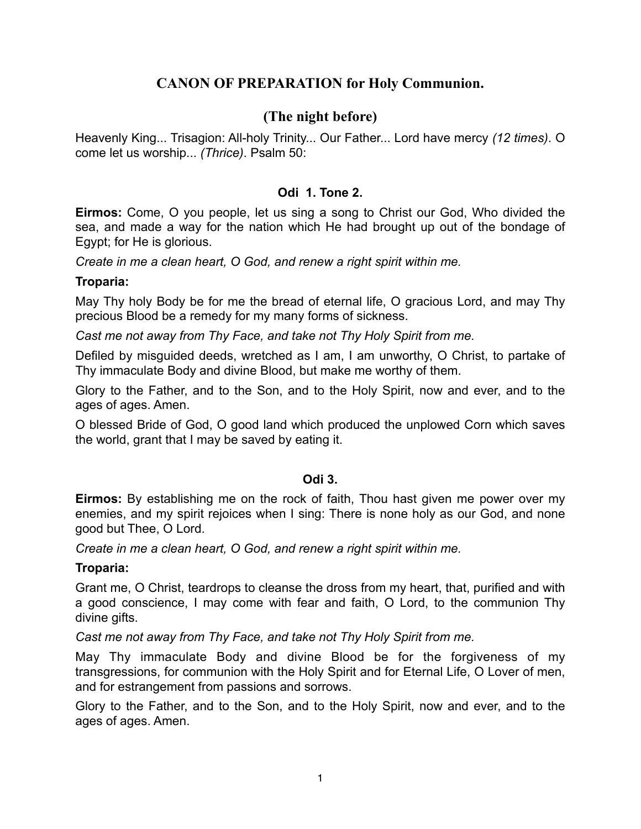# **CANON OF PREPARATION for Holy Communion.**

# **(The night before)**

Heavenly King... Trisagion: All-holy Trinity... Our Father... Lord have mercy *(12 times)*. O come let us worship... *(Thrice)*. Psalm 50:

## **Odi 1. Tone 2.**

**Eirmos:** Come, O you people, let us sing a song to Christ our God, Who divided the sea, and made a way for the nation which He had brought up out of the bondage of Egypt; for He is glorious.

*Create in me a clean heart, O God, and renew a right spirit within me.*

#### **Troparia:**

May Thy holy Body be for me the bread of eternal life, O gracious Lord, and may Thy precious Blood be a remedy for my many forms of sickness.

*Cast me not away from Thy Face, and take not Thy Holy Spirit from me.*

Defiled by misguided deeds, wretched as I am, I am unworthy, O Christ, to partake of Thy immaculate Body and divine Blood, but make me worthy of them.

Glory to the Father, and to the Son, and to the Holy Spirit, now and ever, and to the ages of ages. Amen.

O blessed Bride of God, O good land which produced the unplowed Corn which saves the world, grant that I may be saved by eating it.

### **Odi 3.**

**Eirmos:** By establishing me on the rock of faith, Thou hast given me power over my enemies, and my spirit rejoices when I sing: There is none holy as our God, and none good but Thee, O Lord.

*Create in me a clean heart, O God, and renew a right spirit within me.*

### **Troparia:**

Grant me, O Christ, teardrops to cleanse the dross from my heart, that, purified and with a good conscience, I may come with fear and faith, O Lord, to the communion Thy divine gifts.

*Cast me not away from Thy Face, and take not Thy Holy Spirit from me.*

May Thy immaculate Body and divine Blood be for the forgiveness of my transgressions, for communion with the Holy Spirit and for Eternal Life, O Lover of men, and for estrangement from passions and sorrows.

Glory to the Father, and to the Son, and to the Holy Spirit, now and ever, and to the ages of ages. Amen.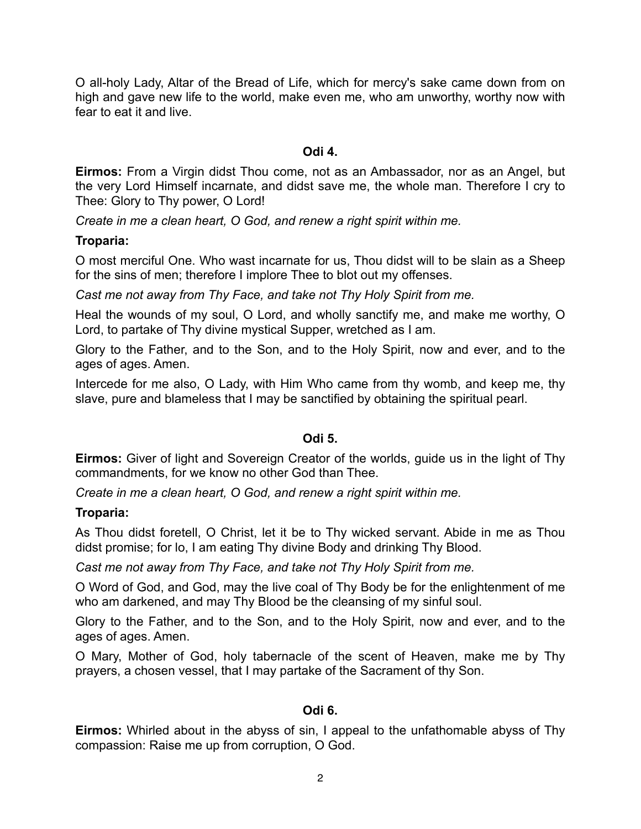O all-holy Lady, Altar of the Bread of Life, which for mercy's sake came down from on high and gave new life to the world, make even me, who am unworthy, worthy now with fear to eat it and live.

### **Odi 4.**

**Eirmos:** From a Virgin didst Thou come, not as an Ambassador, nor as an Angel, but the very Lord Himself incarnate, and didst save me, the whole man. Therefore I cry to Thee: Glory to Thy power, O Lord!

*Create in me a clean heart, O God, and renew a right spirit within me.*

## **Troparia:**

O most merciful One. Who wast incarnate for us, Thou didst will to be slain as a Sheep for the sins of men; therefore I implore Thee to blot out my offenses.

*Cast me not away from Thy Face, and take not Thy Holy Spirit from me.*

Heal the wounds of my soul, O Lord, and wholly sanctify me, and make me worthy, O Lord, to partake of Thy divine mystical Supper, wretched as I am.

Glory to the Father, and to the Son, and to the Holy Spirit, now and ever, and to the ages of ages. Amen.

Intercede for me also, O Lady, with Him Who came from thy womb, and keep me, thy slave, pure and blameless that I may be sanctified by obtaining the spiritual pearl.

## **Odi 5.**

**Eirmos:** Giver of light and Sovereign Creator of the worlds, guide us in the light of Thy commandments, for we know no other God than Thee.

*Create in me a clean heart, O God, and renew a right spirit within me.*

## **Troparia:**

As Thou didst foretell, O Christ, let it be to Thy wicked servant. Abide in me as Thou didst promise; for lo, I am eating Thy divine Body and drinking Thy Blood.

*Cast me not away from Thy Face, and take not Thy Holy Spirit from me.*

O Word of God, and God, may the live coal of Thy Body be for the enlightenment of me who am darkened, and may Thy Blood be the cleansing of my sinful soul.

Glory to the Father, and to the Son, and to the Holy Spirit, now and ever, and to the ages of ages. Amen.

O Mary, Mother of God, holy tabernacle of the scent of Heaven, make me by Thy prayers, a chosen vessel, that I may partake of the Sacrament of thy Son.

## **Odi 6.**

**Eirmos:** Whirled about in the abyss of sin, I appeal to the unfathomable abyss of Thy compassion: Raise me up from corruption, O God.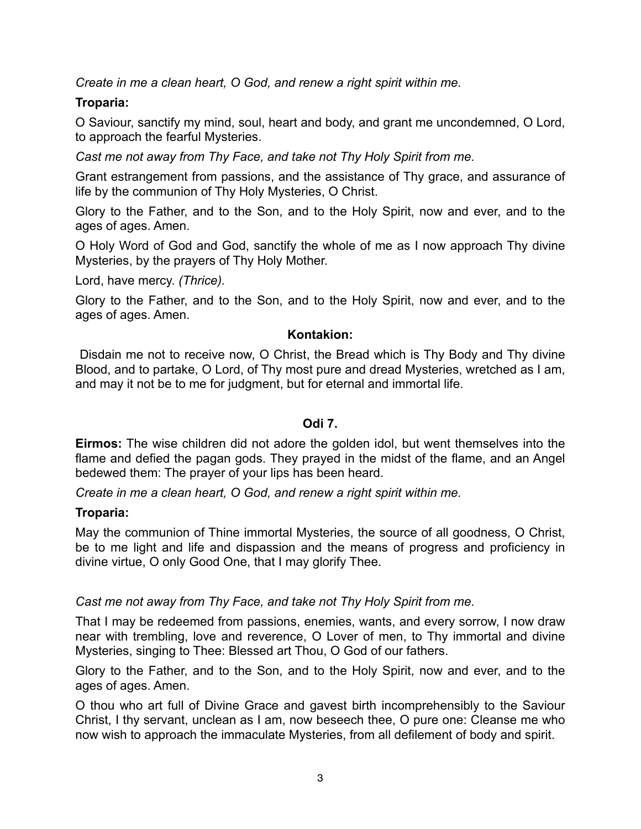*Create in me a clean heart, O God, and renew a right spirit within me.*

## **Troparia:**

O Saviour, sanctify my mind, soul, heart and body, and grant me uncondemned, O Lord, to approach the fearful Mysteries.

*Cast me not away from Thy Face, and take not Thy Holy Spirit from me.*

Grant estrangement from passions, and the assistance of Thy grace, and assurance of life by the communion of Thy Holy Mysteries, O Christ.

Glory to the Father, and to the Son, and to the Holy Spirit, now and ever, and to the ages of ages. Amen.

O Holy Word of God and God, sanctify the whole of me as I now approach Thy divine Mysteries, by the prayers of Thy Holy Mother.

Lord, have mercy. *(Thrice).*

Glory to the Father, and to the Son, and to the Holy Spirit, now and ever, and to the ages of ages. Amen.

## **Kontakion:**

 Disdain me not to receive now, O Christ, the Bread which is Thy Body and Thy divine Blood, and to partake, O Lord, of Thy most pure and dread Mysteries, wretched as I am, and may it not be to me for judgment, but for eternal and immortal life.

## **Odi 7.**

**Eirmos:** The wise children did not adore the golden idol, but went themselves into the flame and defied the pagan gods. They prayed in the midst of the flame, and an Angel bedewed them: The prayer of your lips has been heard.

*Create in me a clean heart, O God, and renew a right spirit within me.*

## **Troparia:**

May the communion of Thine immortal Mysteries, the source of all goodness, O Christ, be to me light and life and dispassion and the means of progress and proficiency in divine virtue, O only Good One, that I may glorify Thee.

## *Cast me not away from Thy Face, and take not Thy Holy Spirit from me.*

That I may be redeemed from passions, enemies, wants, and every sorrow, I now draw near with trembling, love and reverence, O Lover of men, to Thy immortal and divine Mysteries, singing to Thee: Blessed art Thou, O God of our fathers.

Glory to the Father, and to the Son, and to the Holy Spirit, now and ever, and to the ages of ages. Amen.

O thou who art full of Divine Grace and gavest birth incomprehensibly to the Saviour Christ, I thy servant, unclean as I am, now beseech thee, O pure one: Cleanse me who now wish to approach the immaculate Mysteries, from all defilement of body and spirit.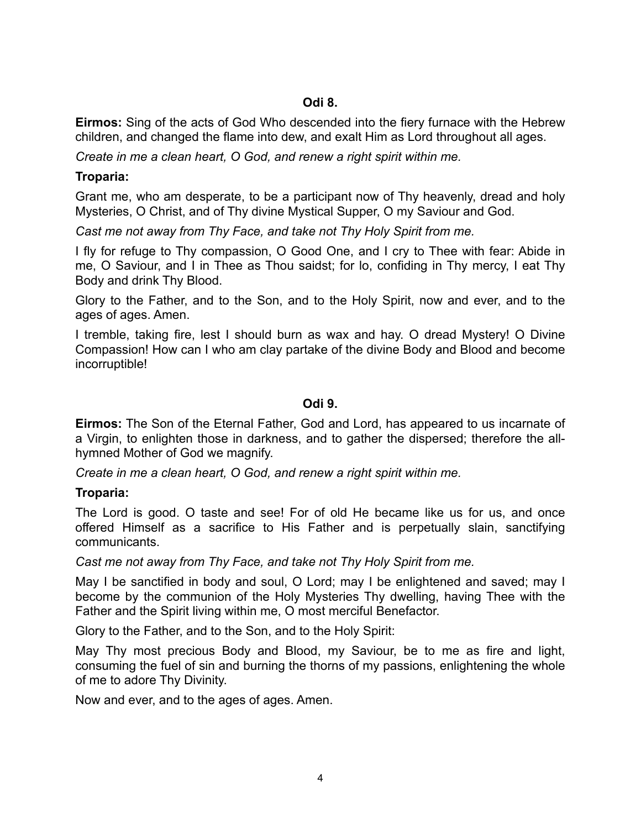## **Odi 8.**

**Eirmos:** Sing of the acts of God Who descended into the fiery furnace with the Hebrew children, and changed the flame into dew, and exalt Him as Lord throughout all ages.

*Create in me a clean heart, O God, and renew a right spirit within me.*

## **Troparia:**

Grant me, who am desperate, to be a participant now of Thy heavenly, dread and holy Mysteries, O Christ, and of Thy divine Mystical Supper, O my Saviour and God.

*Cast me not away from Thy Face, and take not Thy Holy Spirit from me.*

I fly for refuge to Thy compassion, O Good One, and I cry to Thee with fear: Abide in me, O Saviour, and I in Thee as Thou saidst; for lo, confiding in Thy mercy, I eat Thy Body and drink Thy Blood.

Glory to the Father, and to the Son, and to the Holy Spirit, now and ever, and to the ages of ages. Amen.

I tremble, taking fire, lest I should burn as wax and hay. O dread Mystery! O Divine Compassion! How can I who am clay partake of the divine Body and Blood and become incorruptible!

## **Odi 9.**

**Eirmos:** The Son of the Eternal Father, God and Lord, has appeared to us incarnate of a Virgin, to enlighten those in darkness, and to gather the dispersed; therefore the allhymned Mother of God we magnify.

*Create in me a clean heart, O God, and renew a right spirit within me.*

## **Troparia:**

The Lord is good. O taste and see! For of old He became like us for us, and once offered Himself as a sacrifice to His Father and is perpetually slain, sanctifying communicants.

*Cast me not away from Thy Face, and take not Thy Holy Spirit from me.*

May I be sanctified in body and soul, O Lord; may I be enlightened and saved; may I become by the communion of the Holy Mysteries Thy dwelling, having Thee with the Father and the Spirit living within me, O most merciful Benefactor.

Glory to the Father, and to the Son, and to the Holy Spirit:

May Thy most precious Body and Blood, my Saviour, be to me as fire and light, consuming the fuel of sin and burning the thorns of my passions, enlightening the whole of me to adore Thy Divinity.

Now and ever, and to the ages of ages. Amen.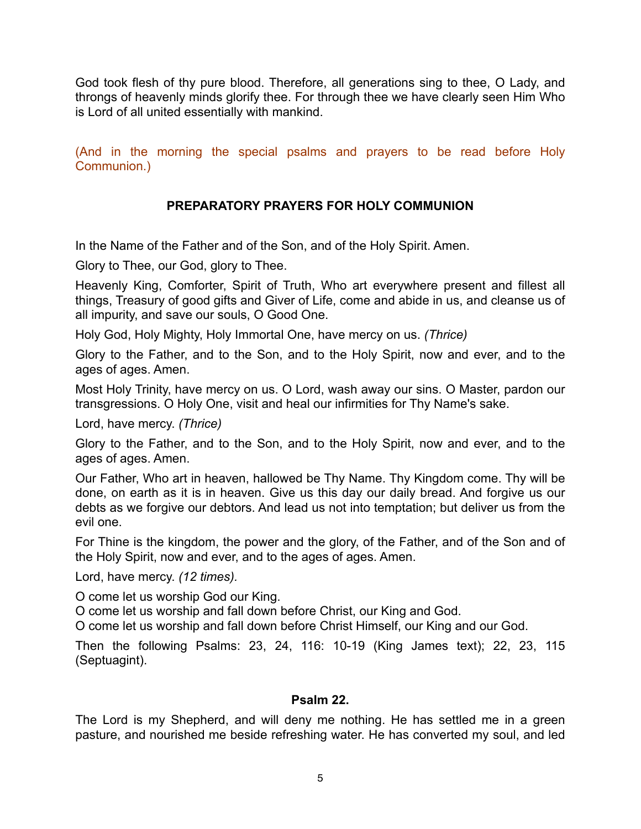God took flesh of thy pure blood. Therefore, all generations sing to thee, O Lady, and throngs of heavenly minds glorify thee. For through thee we have clearly seen Him Who is Lord of all united essentially with mankind.

(And in the morning the special psalms and prayers to be read before Holy Communion.)

## **PREPARATORY PRAYERS FOR HOLY COMMUNION**

In the Name of the Father and of the Son, and of the Holy Spirit. Amen.

Glory to Thee, our God, glory to Thee.

Heavenly King, Comforter, Spirit of Truth, Who art everywhere present and fillest all things, Treasury of good gifts and Giver of Life, come and abide in us, and cleanse us of all impurity, and save our souls, O Good One.

Holy God, Holy Mighty, Holy Immortal One, have mercy on us. *(Thrice)*

Glory to the Father, and to the Son, and to the Holy Spirit, now and ever, and to the ages of ages. Amen.

Most Holy Trinity, have mercy on us. O Lord, wash away our sins. O Master, pardon our transgressions. O Holy One, visit and heal our infirmities for Thy Name's sake.

Lord, have mercy. *(Thrice)*

Glory to the Father, and to the Son, and to the Holy Spirit, now and ever, and to the ages of ages. Amen.

Our Father, Who art in heaven, hallowed be Thy Name. Thy Kingdom come. Thy will be done, on earth as it is in heaven. Give us this day our daily bread. And forgive us our debts as we forgive our debtors. And lead us not into temptation; but deliver us from the evil one.

For Thine is the kingdom, the power and the glory, of the Father, and of the Son and of the Holy Spirit, now and ever, and to the ages of ages. Amen.

Lord, have mercy. *(12 times).*

O come let us worship God our King.

O come let us worship and fall down before Christ, our King and God.

O come let us worship and fall down before Christ Himself, our King and our God.

Then the following Psalms: 23, 24, 116: 10-19 (King James text); 22, 23, 115 (Septuagint).

#### **Psalm 22.**

The Lord is my Shepherd, and will deny me nothing. He has settled me in a green pasture, and nourished me beside refreshing water. He has converted my soul, and led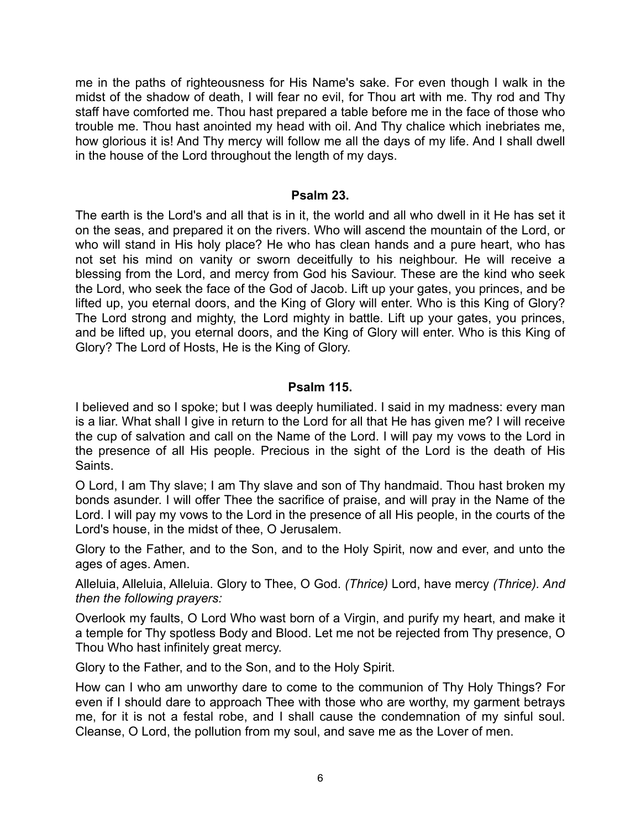me in the paths of righteousness for His Name's sake. For even though I walk in the midst of the shadow of death, I will fear no evil, for Thou art with me. Thy rod and Thy staff have comforted me. Thou hast prepared a table before me in the face of those who trouble me. Thou hast anointed my head with oil. And Thy chalice which inebriates me, how glorious it is! And Thy mercy will follow me all the days of my life. And I shall dwell in the house of the Lord throughout the length of my days.

### **Psalm 23.**

The earth is the Lord's and all that is in it, the world and all who dwell in it He has set it on the seas, and prepared it on the rivers. Who will ascend the mountain of the Lord, or who will stand in His holy place? He who has clean hands and a pure heart, who has not set his mind on vanity or sworn deceitfully to his neighbour. He will receive a blessing from the Lord, and mercy from God his Saviour. These are the kind who seek the Lord, who seek the face of the God of Jacob. Lift up your gates, you princes, and be lifted up, you eternal doors, and the King of Glory will enter. Who is this King of Glory? The Lord strong and mighty, the Lord mighty in battle. Lift up your gates, you princes, and be lifted up, you eternal doors, and the King of Glory will enter. Who is this King of Glory? The Lord of Hosts, He is the King of Glory.

### **Psalm 115.**

I believed and so I spoke; but I was deeply humiliated. I said in my madness: every man is a liar. What shall I give in return to the Lord for all that He has given me? I will receive the cup of salvation and call on the Name of the Lord. I will pay my vows to the Lord in the presence of all His people. Precious in the sight of the Lord is the death of His Saints.

O Lord, I am Thy slave; I am Thy slave and son of Thy handmaid. Thou hast broken my bonds asunder. I will offer Thee the sacrifice of praise, and will pray in the Name of the Lord. I will pay my vows to the Lord in the presence of all His people, in the courts of the Lord's house, in the midst of thee, O Jerusalem.

Glory to the Father, and to the Son, and to the Holy Spirit, now and ever, and unto the ages of ages. Amen.

Alleluia, Alleluia, Alleluia. Glory to Thee, O God. *(Thrice)* Lord, have mercy *(Thrice). And then the following prayers:*

Overlook my faults, O Lord Who wast born of a Virgin, and purify my heart, and make it a temple for Thy spotless Body and Blood. Let me not be rejected from Thy presence, O Thou Who hast infinitely great mercy.

Glory to the Father, and to the Son, and to the Holy Spirit.

How can I who am unworthy dare to come to the communion of Thy Holy Things? For even if I should dare to approach Thee with those who are worthy, my garment betrays me, for it is not a festal robe, and I shall cause the condemnation of my sinful soul. Cleanse, O Lord, the pollution from my soul, and save me as the Lover of men.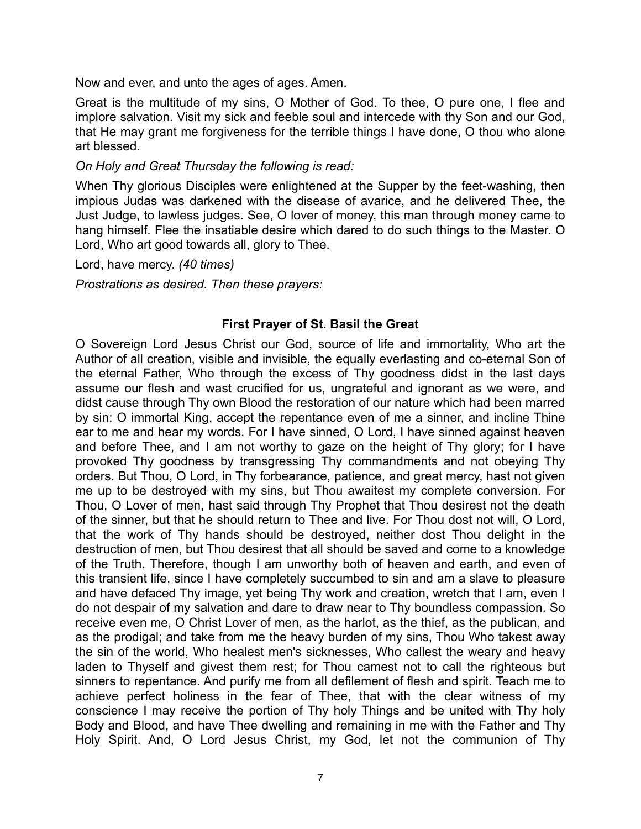Now and ever, and unto the ages of ages. Amen.

Great is the multitude of my sins, O Mother of God. To thee, O pure one, I flee and implore salvation. Visit my sick and feeble soul and intercede with thy Son and our God, that He may grant me forgiveness for the terrible things I have done, O thou who alone art blessed.

#### *On Holy and Great Thursday the following is read:*

When Thy glorious Disciples were enlightened at the Supper by the feet-washing, then impious Judas was darkened with the disease of avarice, and he delivered Thee, the Just Judge, to lawless judges. See, O lover of money, this man through money came to hang himself. Flee the insatiable desire which dared to do such things to the Master. O Lord, Who art good towards all, glory to Thee.

Lord, have mercy. *(40 times)*

*Prostrations as desired. Then these prayers:*

#### **First Prayer of St. Basil the Great**

O Sovereign Lord Jesus Christ our God, source of life and immortality, Who art the Author of all creation, visible and invisible, the equally everlasting and co-eternal Son of the eternal Father, Who through the excess of Thy goodness didst in the last days assume our flesh and wast crucified for us, ungrateful and ignorant as we were, and didst cause through Thy own Blood the restoration of our nature which had been marred by sin: O immortal King, accept the repentance even of me a sinner, and incline Thine ear to me and hear my words. For I have sinned, O Lord, I have sinned against heaven and before Thee, and I am not worthy to gaze on the height of Thy glory; for I have provoked Thy goodness by transgressing Thy commandments and not obeying Thy orders. But Thou, O Lord, in Thy forbearance, patience, and great mercy, hast not given me up to be destroyed with my sins, but Thou awaitest my complete conversion. For Thou, O Lover of men, hast said through Thy Prophet that Thou desirest not the death of the sinner, but that he should return to Thee and live. For Thou dost not will, O Lord, that the work of Thy hands should be destroyed, neither dost Thou delight in the destruction of men, but Thou desirest that all should be saved and come to a knowledge of the Truth. Therefore, though I am unworthy both of heaven and earth, and even of this transient life, since I have completely succumbed to sin and am a slave to pleasure and have defaced Thy image, yet being Thy work and creation, wretch that I am, even I do not despair of my salvation and dare to draw near to Thy boundless compassion. So receive even me, O Christ Lover of men, as the harlot, as the thief, as the publican, and as the prodigal; and take from me the heavy burden of my sins, Thou Who takest away the sin of the world, Who healest men's sicknesses, Who callest the weary and heavy laden to Thyself and givest them rest; for Thou camest not to call the righteous but sinners to repentance. And purify me from all defilement of flesh and spirit. Teach me to achieve perfect holiness in the fear of Thee, that with the clear witness of my conscience I may receive the portion of Thy holy Things and be united with Thy holy Body and Blood, and have Thee dwelling and remaining in me with the Father and Thy Holy Spirit. And, O Lord Jesus Christ, my God, let not the communion of Thy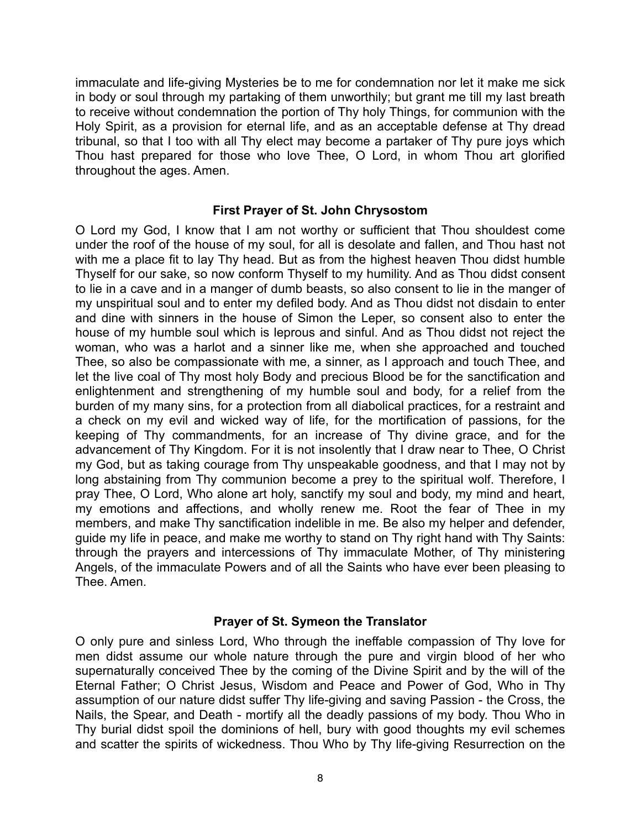immaculate and life-giving Mysteries be to me for condemnation nor let it make me sick in body or soul through my partaking of them unworthily; but grant me till my last breath to receive without condemnation the portion of Thy holy Things, for communion with the Holy Spirit, as a provision for eternal life, and as an acceptable defense at Thy dread tribunal, so that I too with all Thy elect may become a partaker of Thy pure joys which Thou hast prepared for those who love Thee, O Lord, in whom Thou art glorified throughout the ages. Amen.

### **First Prayer of St. John Chrysostom**

O Lord my God, I know that I am not worthy or sufficient that Thou shouldest come under the roof of the house of my soul, for all is desolate and fallen, and Thou hast not with me a place fit to lay Thy head. But as from the highest heaven Thou didst humble Thyself for our sake, so now conform Thyself to my humility. And as Thou didst consent to lie in a cave and in a manger of dumb beasts, so also consent to lie in the manger of my unspiritual soul and to enter my defiled body. And as Thou didst not disdain to enter and dine with sinners in the house of Simon the Leper, so consent also to enter the house of my humble soul which is leprous and sinful. And as Thou didst not reject the woman, who was a harlot and a sinner like me, when she approached and touched Thee, so also be compassionate with me, a sinner, as I approach and touch Thee, and let the live coal of Thy most holy Body and precious Blood be for the sanctification and enlightenment and strengthening of my humble soul and body, for a relief from the burden of my many sins, for a protection from all diabolical practices, for a restraint and a check on my evil and wicked way of life, for the mortification of passions, for the keeping of Thy commandments, for an increase of Thy divine grace, and for the advancement of Thy Kingdom. For it is not insolently that I draw near to Thee, O Christ my God, but as taking courage from Thy unspeakable goodness, and that I may not by long abstaining from Thy communion become a prey to the spiritual wolf. Therefore, I pray Thee, O Lord, Who alone art holy, sanctify my soul and body, my mind and heart, my emotions and affections, and wholly renew me. Root the fear of Thee in my members, and make Thy sanctification indelible in me. Be also my helper and defender, guide my life in peace, and make me worthy to stand on Thy right hand with Thy Saints: through the prayers and intercessions of Thy immaculate Mother, of Thy ministering Angels, of the immaculate Powers and of all the Saints who have ever been pleasing to Thee. Amen.

### **Prayer of St. Symeon the Translator**

O only pure and sinless Lord, Who through the ineffable compassion of Thy love for men didst assume our whole nature through the pure and virgin blood of her who supernaturally conceived Thee by the coming of the Divine Spirit and by the will of the Eternal Father; O Christ Jesus, Wisdom and Peace and Power of God, Who in Thy assumption of our nature didst suffer Thy life-giving and saving Passion - the Cross, the Nails, the Spear, and Death - mortify all the deadly passions of my body. Thou Who in Thy burial didst spoil the dominions of hell, bury with good thoughts my evil schemes and scatter the spirits of wickedness. Thou Who by Thy life-giving Resurrection on the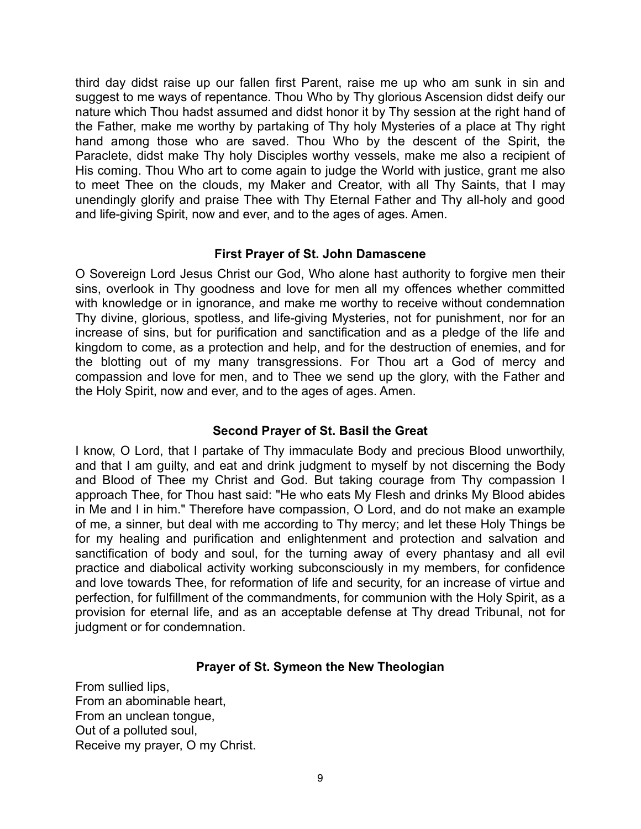third day didst raise up our fallen first Parent, raise me up who am sunk in sin and suggest to me ways of repentance. Thou Who by Thy glorious Ascension didst deify our nature which Thou hadst assumed and didst honor it by Thy session at the right hand of the Father, make me worthy by partaking of Thy holy Mysteries of a place at Thy right hand among those who are saved. Thou Who by the descent of the Spirit, the Paraclete, didst make Thy holy Disciples worthy vessels, make me also a recipient of His coming. Thou Who art to come again to judge the World with justice, grant me also to meet Thee on the clouds, my Maker and Creator, with all Thy Saints, that I may unendingly glorify and praise Thee with Thy Eternal Father and Thy all-holy and good and life-giving Spirit, now and ever, and to the ages of ages. Amen.

### **First Prayer of St. John Damascene**

O Sovereign Lord Jesus Christ our God, Who alone hast authority to forgive men their sins, overlook in Thy goodness and love for men all my offences whether committed with knowledge or in ignorance, and make me worthy to receive without condemnation Thy divine, glorious, spotless, and life-giving Mysteries, not for punishment, nor for an increase of sins, but for purification and sanctification and as a pledge of the life and kingdom to come, as a protection and help, and for the destruction of enemies, and for the blotting out of my many transgressions. For Thou art a God of mercy and compassion and love for men, and to Thee we send up the glory, with the Father and the Holy Spirit, now and ever, and to the ages of ages. Amen.

## **Second Prayer of St. Basil the Great**

I know, O Lord, that I partake of Thy immaculate Body and precious Blood unworthily, and that I am guilty, and eat and drink judgment to myself by not discerning the Body and Blood of Thee my Christ and God. But taking courage from Thy compassion I approach Thee, for Thou hast said: "He who eats My Flesh and drinks My Blood abides in Me and I in him." Therefore have compassion, O Lord, and do not make an example of me, a sinner, but deal with me according to Thy mercy; and let these Holy Things be for my healing and purification and enlightenment and protection and salvation and sanctification of body and soul, for the turning away of every phantasy and all evil practice and diabolical activity working subconsciously in my members, for confidence and love towards Thee, for reformation of life and security, for an increase of virtue and perfection, for fulfillment of the commandments, for communion with the Holy Spirit, as a provision for eternal life, and as an acceptable defense at Thy dread Tribunal, not for judgment or for condemnation.

## **Prayer of St. Symeon the New Theologian**

From sullied lips, From an abominable heart, From an unclean tongue, Out of a polluted soul, Receive my prayer, O my Christ.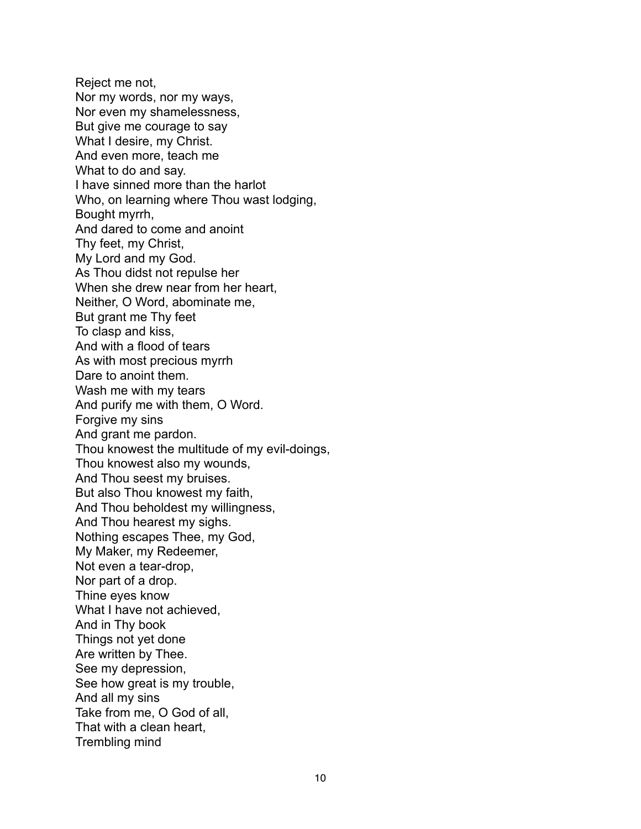Reject me not, Nor my words, nor my ways, Nor even my shamelessness, But give me courage to say What I desire, my Christ. And even more, teach me What to do and say. I have sinned more than the harlot Who, on learning where Thou wast lodging, Bought myrrh, And dared to come and anoint Thy feet, my Christ, My Lord and my God. As Thou didst not repulse her When she drew near from her heart, Neither, O Word, abominate me, But grant me Thy feet To clasp and kiss, And with a flood of tears As with most precious myrrh Dare to anoint them. Wash me with my tears And purify me with them, O Word. Forgive my sins And grant me pardon. Thou knowest the multitude of my evil-doings, Thou knowest also my wounds, And Thou seest my bruises. But also Thou knowest my faith, And Thou beholdest my willingness, And Thou hearest my sighs. Nothing escapes Thee, my God, My Maker, my Redeemer, Not even a tear-drop, Nor part of a drop. Thine eyes know What I have not achieved, And in Thy book Things not yet done Are written by Thee. See my depression, See how great is my trouble, And all my sins Take from me, O God of all, That with a clean heart, Trembling mind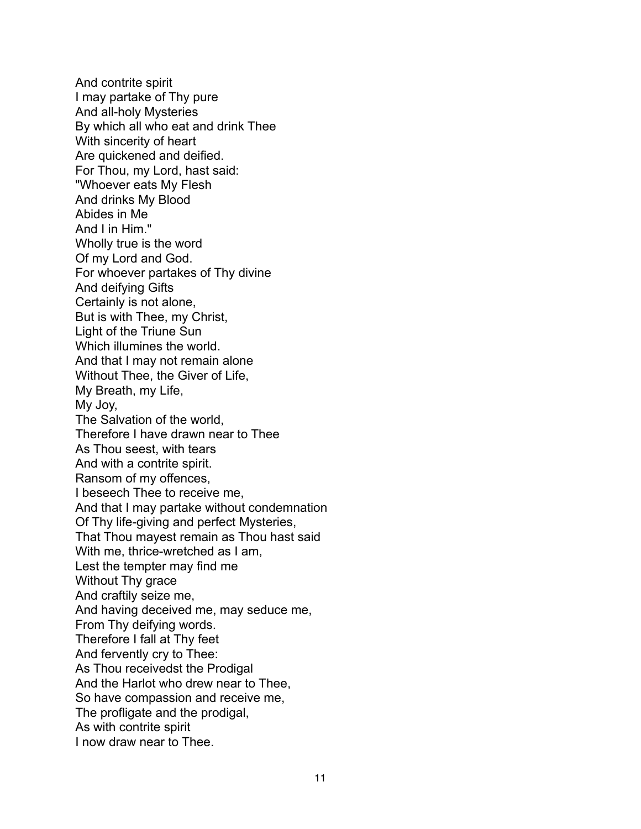And contrite spirit I may partake of Thy pure And all-holy Mysteries By which all who eat and drink Thee With sincerity of heart Are quickened and deified. For Thou, my Lord, hast said: "Whoever eats My Flesh And drinks My Blood Abides in Me And I in Him." Wholly true is the word Of my Lord and God. For whoever partakes of Thy divine And deifying Gifts Certainly is not alone, But is with Thee, my Christ, Light of the Triune Sun Which illumines the world. And that I may not remain alone Without Thee, the Giver of Life, My Breath, my Life, My Joy, The Salvation of the world, Therefore I have drawn near to Thee As Thou seest, with tears And with a contrite spirit. Ransom of my offences, I beseech Thee to receive me, And that I may partake without condemnation Of Thy life-giving and perfect Mysteries, That Thou mayest remain as Thou hast said With me, thrice-wretched as I am, Lest the tempter may find me Without Thy grace And craftily seize me, And having deceived me, may seduce me, From Thy deifying words. Therefore I fall at Thy feet And fervently cry to Thee: As Thou receivedst the Prodigal And the Harlot who drew near to Thee, So have compassion and receive me, The profligate and the prodigal, As with contrite spirit I now draw near to Thee.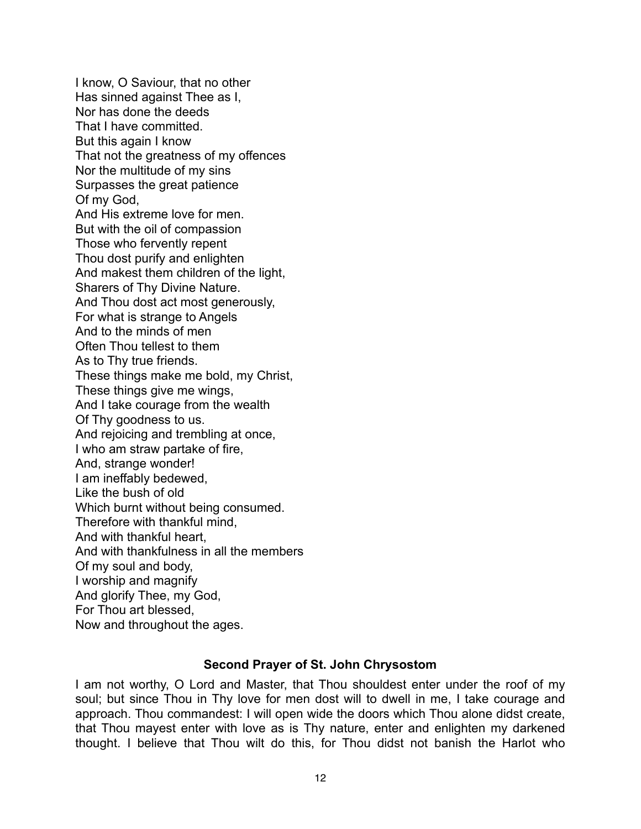I know, O Saviour, that no other Has sinned against Thee as I, Nor has done the deeds That I have committed. But this again I know That not the greatness of my offences Nor the multitude of my sins Surpasses the great patience Of my God, And His extreme love for men. But with the oil of compassion Those who fervently repent Thou dost purify and enlighten And makest them children of the light, Sharers of Thy Divine Nature. And Thou dost act most generously, For what is strange to Angels And to the minds of men Often Thou tellest to them As to Thy true friends. These things make me bold, my Christ, These things give me wings, And I take courage from the wealth Of Thy goodness to us. And rejoicing and trembling at once, I who am straw partake of fire, And, strange wonder! I am ineffably bedewed, Like the bush of old Which burnt without being consumed. Therefore with thankful mind, And with thankful heart, And with thankfulness in all the members Of my soul and body, I worship and magnify And glorify Thee, my God, For Thou art blessed, Now and throughout the ages.

#### **Second Prayer of St. John Chrysostom**

I am not worthy, O Lord and Master, that Thou shouldest enter under the roof of my soul; but since Thou in Thy love for men dost will to dwell in me, I take courage and approach. Thou commandest: I will open wide the doors which Thou alone didst create, that Thou mayest enter with love as is Thy nature, enter and enlighten my darkened thought. I believe that Thou wilt do this, for Thou didst not banish the Harlot who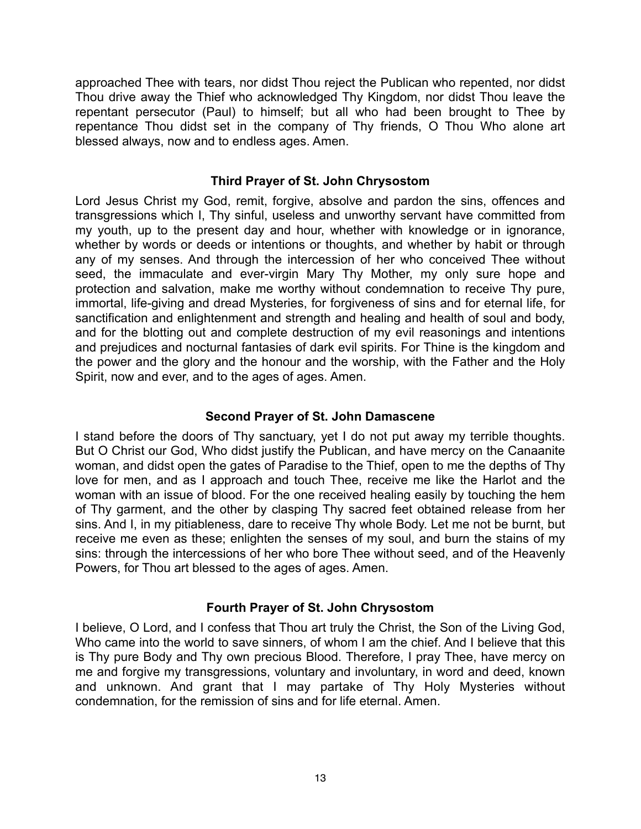approached Thee with tears, nor didst Thou reject the Publican who repented, nor didst Thou drive away the Thief who acknowledged Thy Kingdom, nor didst Thou leave the repentant persecutor (Paul) to himself; but all who had been brought to Thee by repentance Thou didst set in the company of Thy friends, O Thou Who alone art blessed always, now and to endless ages. Amen.

## **Third Prayer of St. John Chrysostom**

Lord Jesus Christ my God, remit, forgive, absolve and pardon the sins, offences and transgressions which I, Thy sinful, useless and unworthy servant have committed from my youth, up to the present day and hour, whether with knowledge or in ignorance, whether by words or deeds or intentions or thoughts, and whether by habit or through any of my senses. And through the intercession of her who conceived Thee without seed, the immaculate and ever-virgin Mary Thy Mother, my only sure hope and protection and salvation, make me worthy without condemnation to receive Thy pure, immortal, life-giving and dread Mysteries, for forgiveness of sins and for eternal life, for sanctification and enlightenment and strength and healing and health of soul and body, and for the blotting out and complete destruction of my evil reasonings and intentions and prejudices and nocturnal fantasies of dark evil spirits. For Thine is the kingdom and the power and the glory and the honour and the worship, with the Father and the Holy Spirit, now and ever, and to the ages of ages. Amen.

## **Second Prayer of St. John Damascene**

I stand before the doors of Thy sanctuary, yet I do not put away my terrible thoughts. But O Christ our God, Who didst justify the Publican, and have mercy on the Canaanite woman, and didst open the gates of Paradise to the Thief, open to me the depths of Thy love for men, and as I approach and touch Thee, receive me like the Harlot and the woman with an issue of blood. For the one received healing easily by touching the hem of Thy garment, and the other by clasping Thy sacred feet obtained release from her sins. And I, in my pitiableness, dare to receive Thy whole Body. Let me not be burnt, but receive me even as these; enlighten the senses of my soul, and burn the stains of my sins: through the intercessions of her who bore Thee without seed, and of the Heavenly Powers, for Thou art blessed to the ages of ages. Amen.

## **Fourth Prayer of St. John Chrysostom**

I believe, O Lord, and I confess that Thou art truly the Christ, the Son of the Living God, Who came into the world to save sinners, of whom I am the chief. And I believe that this is Thy pure Body and Thy own precious Blood. Therefore, I pray Thee, have mercy on me and forgive my transgressions, voluntary and involuntary, in word and deed, known and unknown. And grant that I may partake of Thy Holy Mysteries without condemnation, for the remission of sins and for life eternal. Amen.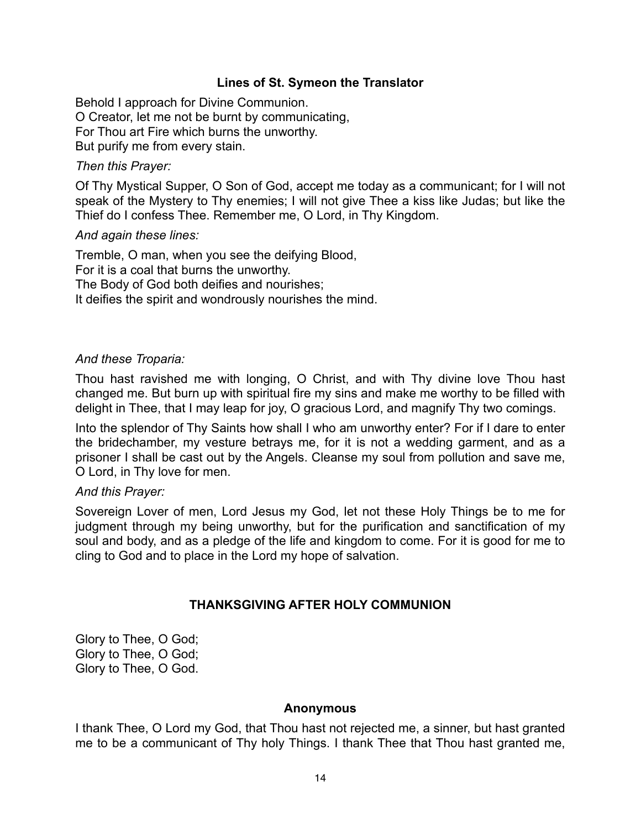### **Lines of St. Symeon the Translator**

Behold I approach for Divine Communion. O Creator, let me not be burnt by communicating, For Thou art Fire which burns the unworthy. But purify me from every stain.

#### *Then this Prayer:*

Of Thy Mystical Supper, O Son of God, accept me today as a communicant; for I will not speak of the Mystery to Thy enemies; I will not give Thee a kiss like Judas; but like the Thief do I confess Thee. Remember me, O Lord, in Thy Kingdom.

#### *And again these lines:*

Tremble, O man, when you see the deifying Blood, For it is a coal that burns the unworthy. The Body of God both deifies and nourishes; It deifies the spirit and wondrously nourishes the mind.

#### *And these Troparia:*

Thou hast ravished me with longing, O Christ, and with Thy divine love Thou hast changed me. But burn up with spiritual fire my sins and make me worthy to be filled with delight in Thee, that I may leap for joy, O gracious Lord, and magnify Thy two comings.

Into the splendor of Thy Saints how shall I who am unworthy enter? For if I dare to enter the bridechamber, my vesture betrays me, for it is not a wedding garment, and as a prisoner I shall be cast out by the Angels. Cleanse my soul from pollution and save me, O Lord, in Thy love for men.

#### *And this Prayer:*

Sovereign Lover of men, Lord Jesus my God, let not these Holy Things be to me for judgment through my being unworthy, but for the purification and sanctification of my soul and body, and as a pledge of the life and kingdom to come. For it is good for me to cling to God and to place in the Lord my hope of salvation.

### **THANKSGIVING AFTER HOLY COMMUNION**

Glory to Thee, O God; Glory to Thee, O God; Glory to Thee, O God.

#### **Anonymous**

I thank Thee, O Lord my God, that Thou hast not rejected me, a sinner, but hast granted me to be a communicant of Thy holy Things. I thank Thee that Thou hast granted me,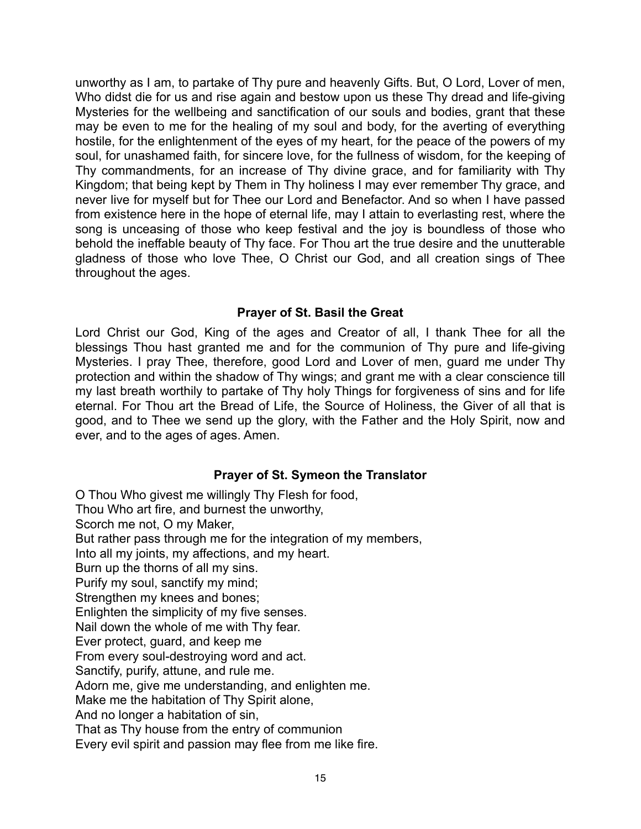unworthy as I am, to partake of Thy pure and heavenly Gifts. But, O Lord, Lover of men, Who didst die for us and rise again and bestow upon us these Thy dread and life-giving Mysteries for the wellbeing and sanctification of our souls and bodies, grant that these may be even to me for the healing of my soul and body, for the averting of everything hostile, for the enlightenment of the eyes of my heart, for the peace of the powers of my soul, for unashamed faith, for sincere love, for the fullness of wisdom, for the keeping of Thy commandments, for an increase of Thy divine grace, and for familiarity with Thy Kingdom; that being kept by Them in Thy holiness I may ever remember Thy grace, and never live for myself but for Thee our Lord and Benefactor. And so when I have passed from existence here in the hope of eternal life, may I attain to everlasting rest, where the song is unceasing of those who keep festival and the joy is boundless of those who behold the ineffable beauty of Thy face. For Thou art the true desire and the unutterable gladness of those who love Thee, O Christ our God, and all creation sings of Thee throughout the ages.

## **Prayer of St. Basil the Great**

Lord Christ our God, King of the ages and Creator of all, I thank Thee for all the blessings Thou hast granted me and for the communion of Thy pure and life-giving Mysteries. I pray Thee, therefore, good Lord and Lover of men, guard me under Thy protection and within the shadow of Thy wings; and grant me with a clear conscience till my last breath worthily to partake of Thy holy Things for forgiveness of sins and for life eternal. For Thou art the Bread of Life, the Source of Holiness, the Giver of all that is good, and to Thee we send up the glory, with the Father and the Holy Spirit, now and ever, and to the ages of ages. Amen.

### **Prayer of St. Symeon the Translator**

O Thou Who givest me willingly Thy Flesh for food, Thou Who art fire, and burnest the unworthy, Scorch me not, O my Maker, But rather pass through me for the integration of my members, Into all my joints, my affections, and my heart. Burn up the thorns of all my sins. Purify my soul, sanctify my mind; Strengthen my knees and bones; Enlighten the simplicity of my five senses. Nail down the whole of me with Thy fear. Ever protect, guard, and keep me From every soul-destroying word and act. Sanctify, purify, attune, and rule me. Adorn me, give me understanding, and enlighten me. Make me the habitation of Thy Spirit alone, And no longer a habitation of sin, That as Thy house from the entry of communion Every evil spirit and passion may flee from me like fire.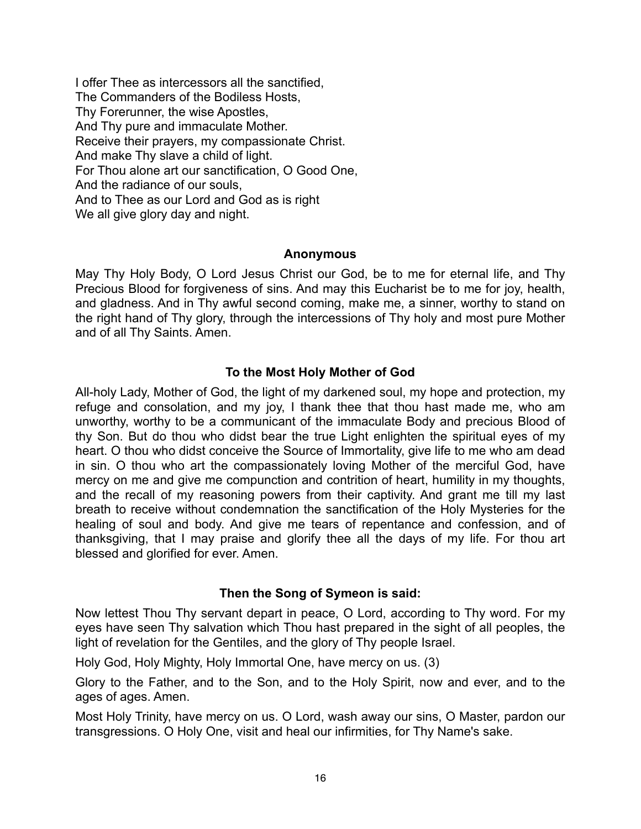I offer Thee as intercessors all the sanctified, The Commanders of the Bodiless Hosts, Thy Forerunner, the wise Apostles, And Thy pure and immaculate Mother. Receive their prayers, my compassionate Christ. And make Thy slave a child of light. For Thou alone art our sanctification, O Good One, And the radiance of our souls, And to Thee as our Lord and God as is right We all give glory day and night.

#### **Anonymous**

May Thy Holy Body, O Lord Jesus Christ our God, be to me for eternal life, and Thy Precious Blood for forgiveness of sins. And may this Eucharist be to me for joy, health, and gladness. And in Thy awful second coming, make me, a sinner, worthy to stand on the right hand of Thy glory, through the intercessions of Thy holy and most pure Mother and of all Thy Saints. Amen.

## **To the Most Holy Mother of God**

All-holy Lady, Mother of God, the light of my darkened soul, my hope and protection, my refuge and consolation, and my joy, I thank thee that thou hast made me, who am unworthy, worthy to be a communicant of the immaculate Body and precious Blood of thy Son. But do thou who didst bear the true Light enlighten the spiritual eyes of my heart. O thou who didst conceive the Source of Immortality, give life to me who am dead in sin. O thou who art the compassionately loving Mother of the merciful God, have mercy on me and give me compunction and contrition of heart, humility in my thoughts, and the recall of my reasoning powers from their captivity. And grant me till my last breath to receive without condemnation the sanctification of the Holy Mysteries for the healing of soul and body. And give me tears of repentance and confession, and of thanksgiving, that I may praise and glorify thee all the days of my life. For thou art blessed and glorified for ever. Amen.

### **Then the Song of Symeon is said:**

Now lettest Thou Thy servant depart in peace, O Lord, according to Thy word. For my eyes have seen Thy salvation which Thou hast prepared in the sight of all peoples, the light of revelation for the Gentiles, and the glory of Thy people Israel.

Holy God, Holy Mighty, Holy Immortal One, have mercy on us. (3)

Glory to the Father, and to the Son, and to the Holy Spirit, now and ever, and to the ages of ages. Amen.

Most Holy Trinity, have mercy on us. O Lord, wash away our sins, O Master, pardon our transgressions. O Holy One, visit and heal our infirmities, for Thy Name's sake.